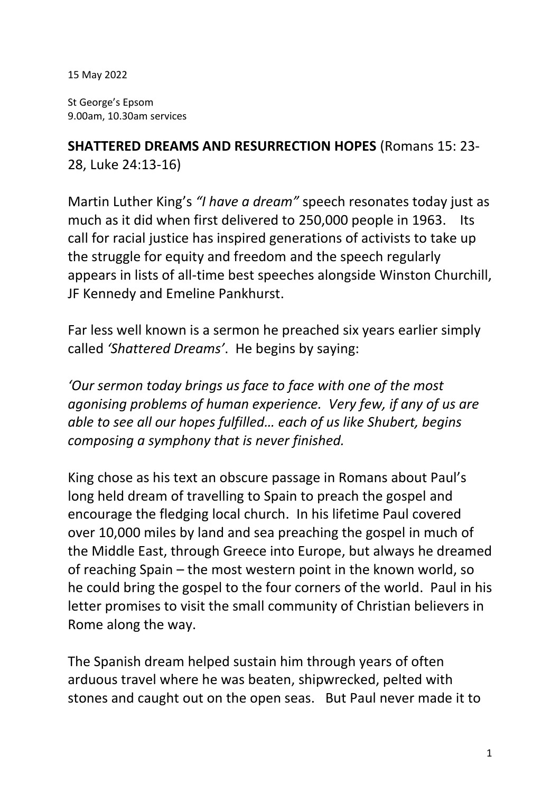15 May 2022

St George's Epsom 9.00am, 10.30am services

**SHATTERED DREAMS AND RESURRECTION HOPES** (Romans 15: 23- 28, Luke 24:13-16)

Martin Luther King's *"I have a dream"* speech resonates today just as much as it did when first delivered to 250,000 people in 1963. Its call for racial justice has inspired generations of activists to take up the struggle for equity and freedom and the speech regularly appears in lists of all-time best speeches alongside Winston Churchill, JF Kennedy and Emeline Pankhurst.

Far less well known is a sermon he preached six years earlier simply called *'Shattered Dreams'*. He begins by saying:

*'Our sermon today brings us face to face with one of the most agonising problems of human experience. Very few, if any of us are able to see all our hopes fulfilled… each of us like Shubert, begins composing a symphony that is never finished.*

King chose as his text an obscure passage in Romans about Paul's long held dream of travelling to Spain to preach the gospel and encourage the fledging local church. In his lifetime Paul covered over 10,000 miles by land and sea preaching the gospel in much of the Middle East, through Greece into Europe, but always he dreamed of reaching Spain – the most western point in the known world, so he could bring the gospel to the four corners of the world. Paul in his letter promises to visit the small community of Christian believers in Rome along the way.

The Spanish dream helped sustain him through years of often arduous travel where he was beaten, shipwrecked, pelted with stones and caught out on the open seas. But Paul never made it to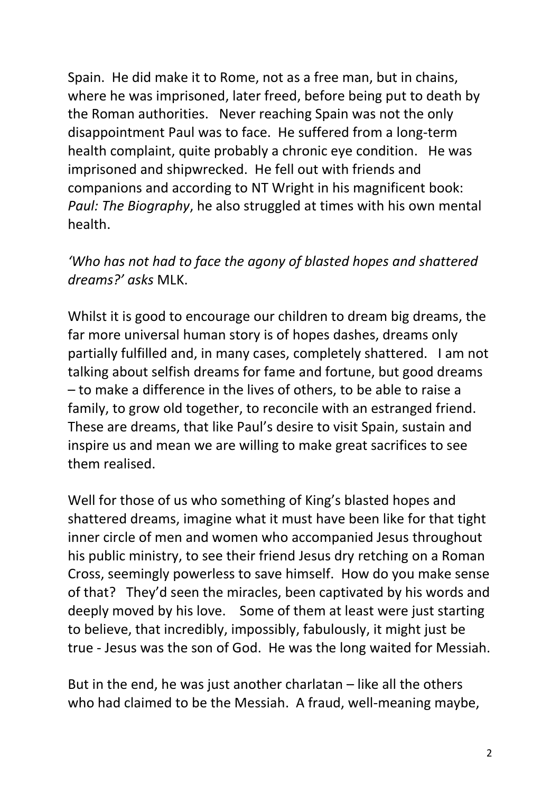Spain. He did make it to Rome, not as a free man, but in chains, where he was imprisoned, later freed, before being put to death by the Roman authorities. Never reaching Spain was not the only disappointment Paul was to face. He suffered from a long-term health complaint, quite probably a chronic eye condition. He was imprisoned and shipwrecked. He fell out with friends and companions and according to NT Wright in his magnificent book: *Paul: The Biography*, he also struggled at times with his own mental health.

## *'Who has not had to face the agony of blasted hopes and shattered dreams?' asks* MLK.

Whilst it is good to encourage our children to dream big dreams, the far more universal human story is of hopes dashes, dreams only partially fulfilled and, in many cases, completely shattered. I am not talking about selfish dreams for fame and fortune, but good dreams – to make a difference in the lives of others, to be able to raise a family, to grow old together, to reconcile with an estranged friend. These are dreams, that like Paul's desire to visit Spain, sustain and inspire us and mean we are willing to make great sacrifices to see them realised.

Well for those of us who something of King's blasted hopes and shattered dreams, imagine what it must have been like for that tight inner circle of men and women who accompanied Jesus throughout his public ministry, to see their friend Jesus dry retching on a Roman Cross, seemingly powerless to save himself. How do you make sense of that? They'd seen the miracles, been captivated by his words and deeply moved by his love. Some of them at least were just starting to believe, that incredibly, impossibly, fabulously, it might just be true - Jesus was the son of God. He was the long waited for Messiah.

But in the end, he was just another charlatan – like all the others who had claimed to be the Messiah. A fraud, well-meaning maybe,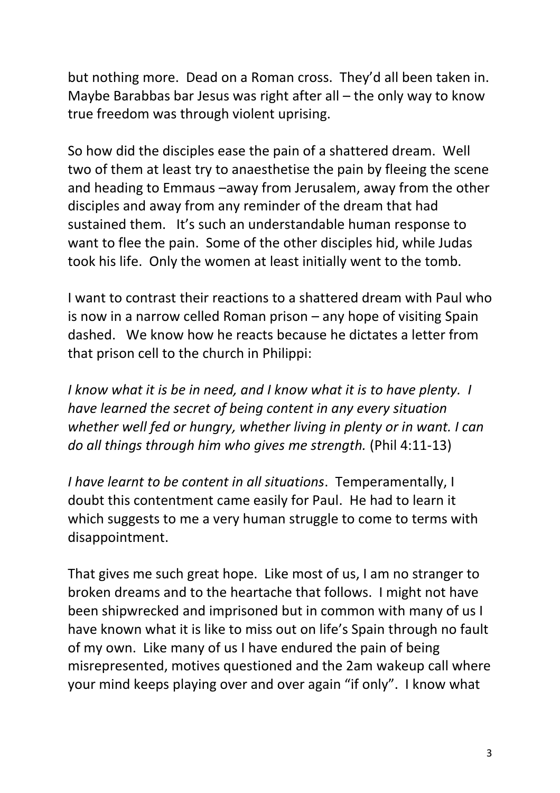but nothing more. Dead on a Roman cross. They'd all been taken in. Maybe Barabbas bar Jesus was right after all – the only way to know true freedom was through violent uprising.

So how did the disciples ease the pain of a shattered dream. Well two of them at least try to anaesthetise the pain by fleeing the scene and heading to Emmaus –away from Jerusalem, away from the other disciples and away from any reminder of the dream that had sustained them. It's such an understandable human response to want to flee the pain. Some of the other disciples hid, while Judas took his life. Only the women at least initially went to the tomb.

I want to contrast their reactions to a shattered dream with Paul who is now in a narrow celled Roman prison – any hope of visiting Spain dashed. We know how he reacts because he dictates a letter from that prison cell to the church in Philippi:

*I know what it is be in need, and I know what it is to have plenty. I have learned the secret of being content in any every situation whether well fed or hungry, whether living in plenty or in want. I can do all things through him who gives me strength.* (Phil 4:11-13)

*I have learnt to be content in all situations*. Temperamentally, I doubt this contentment came easily for Paul. He had to learn it which suggests to me a very human struggle to come to terms with disappointment.

That gives me such great hope. Like most of us, I am no stranger to broken dreams and to the heartache that follows. I might not have been shipwrecked and imprisoned but in common with many of us I have known what it is like to miss out on life's Spain through no fault of my own. Like many of us I have endured the pain of being misrepresented, motives questioned and the 2am wakeup call where your mind keeps playing over and over again "if only". I know what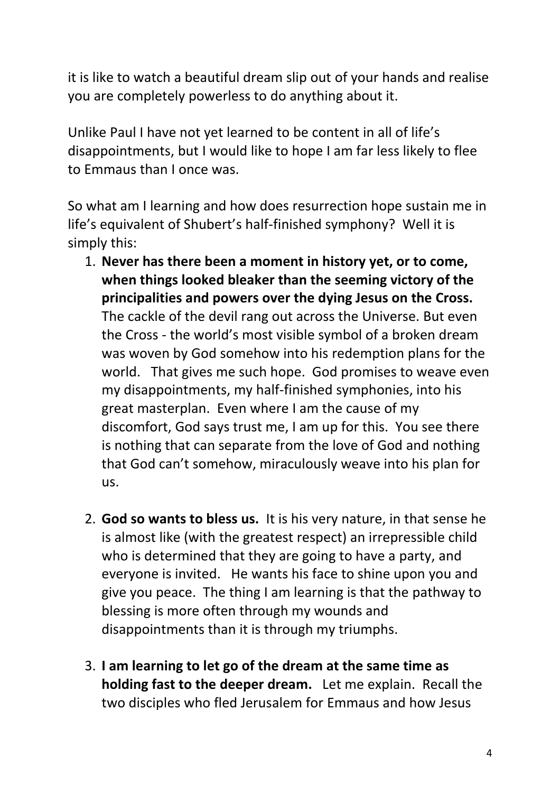it is like to watch a beautiful dream slip out of your hands and realise you are completely powerless to do anything about it.

Unlike Paul I have not yet learned to be content in all of life's disappointments, but I would like to hope I am far less likely to flee to Emmaus than I once was.

So what am I learning and how does resurrection hope sustain me in life's equivalent of Shubert's half-finished symphony? Well it is simply this:

- 1. **Never has there been a moment in history yet, or to come, when things looked bleaker than the seeming victory of the principalities and powers over the dying Jesus on the Cross.** The cackle of the devil rang out across the Universe. But even the Cross - the world's most visible symbol of a broken dream was woven by God somehow into his redemption plans for the world. That gives me such hope. God promises to weave even my disappointments, my half-finished symphonies, into his great masterplan. Even where I am the cause of my discomfort, God says trust me, I am up for this. You see there is nothing that can separate from the love of God and nothing that God can't somehow, miraculously weave into his plan for us.
- 2. **God so wants to bless us.** It is his very nature, in that sense he is almost like (with the greatest respect) an irrepressible child who is determined that they are going to have a party, and everyone is invited. He wants his face to shine upon you and give you peace. The thing I am learning is that the pathway to blessing is more often through my wounds and disappointments than it is through my triumphs.
- 3. **I am learning to let go of the dream at the same time as holding fast to the deeper dream.** Let me explain. Recall the two disciples who fled Jerusalem for Emmaus and how Jesus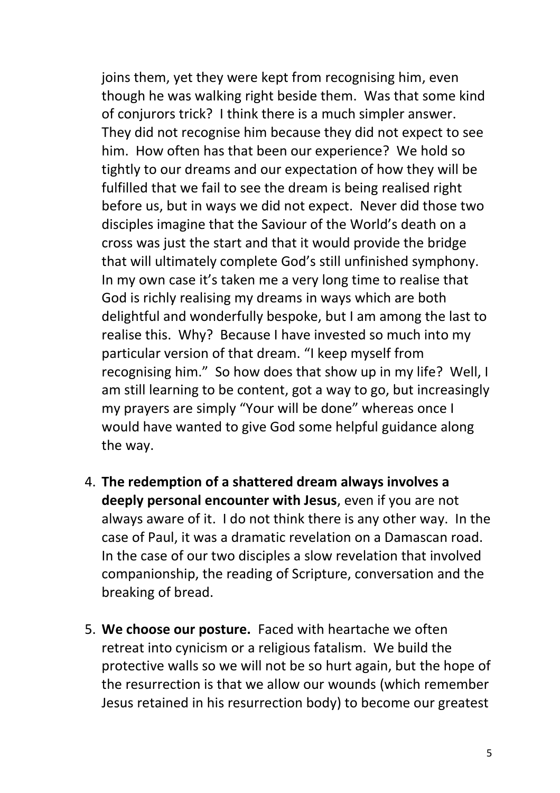joins them, yet they were kept from recognising him, even though he was walking right beside them. Was that some kind of conjurors trick? I think there is a much simpler answer. They did not recognise him because they did not expect to see him. How often has that been our experience? We hold so tightly to our dreams and our expectation of how they will be fulfilled that we fail to see the dream is being realised right before us, but in ways we did not expect. Never did those two disciples imagine that the Saviour of the World's death on a cross was just the start and that it would provide the bridge that will ultimately complete God's still unfinished symphony. In my own case it's taken me a very long time to realise that God is richly realising my dreams in ways which are both delightful and wonderfully bespoke, but I am among the last to realise this. Why? Because I have invested so much into my particular version of that dream. "I keep myself from recognising him." So how does that show up in my life? Well, I am still learning to be content, got a way to go, but increasingly my prayers are simply "Your will be done" whereas once I would have wanted to give God some helpful guidance along the way.

- 4. **The redemption of a shattered dream always involves a deeply personal encounter with Jesus**, even if you are not always aware of it. I do not think there is any other way. In the case of Paul, it was a dramatic revelation on a Damascan road. In the case of our two disciples a slow revelation that involved companionship, the reading of Scripture, conversation and the breaking of bread.
- 5. **We choose our posture.** Faced with heartache we often retreat into cynicism or a religious fatalism. We build the protective walls so we will not be so hurt again, but the hope of the resurrection is that we allow our wounds (which remember Jesus retained in his resurrection body) to become our greatest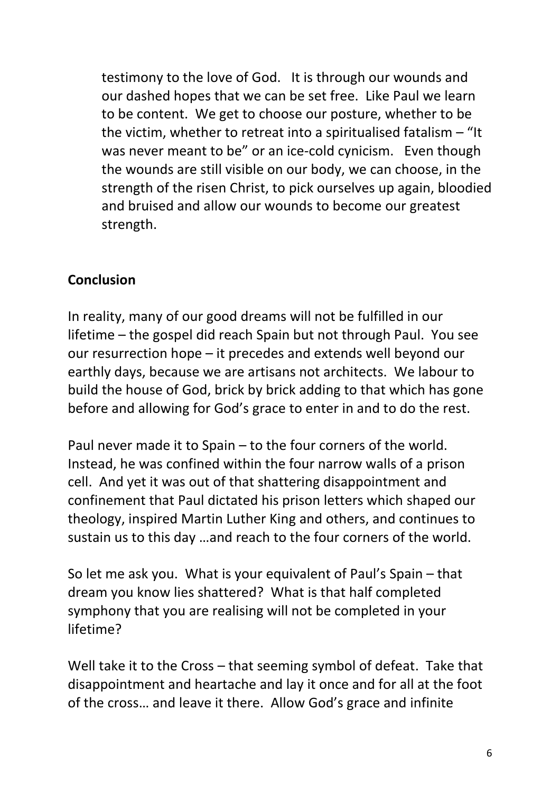testimony to the love of God. It is through our wounds and our dashed hopes that we can be set free. Like Paul we learn to be content. We get to choose our posture, whether to be the victim, whether to retreat into a spiritualised fatalism – "It was never meant to be" or an ice-cold cynicism. Even though the wounds are still visible on our body, we can choose, in the strength of the risen Christ, to pick ourselves up again, bloodied and bruised and allow our wounds to become our greatest strength.

## **Conclusion**

In reality, many of our good dreams will not be fulfilled in our lifetime – the gospel did reach Spain but not through Paul. You see our resurrection hope – it precedes and extends well beyond our earthly days, because we are artisans not architects. We labour to build the house of God, brick by brick adding to that which has gone before and allowing for God's grace to enter in and to do the rest.

Paul never made it to Spain – to the four corners of the world. Instead, he was confined within the four narrow walls of a prison cell. And yet it was out of that shattering disappointment and confinement that Paul dictated his prison letters which shaped our theology, inspired Martin Luther King and others, and continues to sustain us to this day …and reach to the four corners of the world.

So let me ask you. What is your equivalent of Paul's Spain – that dream you know lies shattered? What is that half completed symphony that you are realising will not be completed in your lifetime?

Well take it to the Cross – that seeming symbol of defeat. Take that disappointment and heartache and lay it once and for all at the foot of the cross… and leave it there. Allow God's grace and infinite